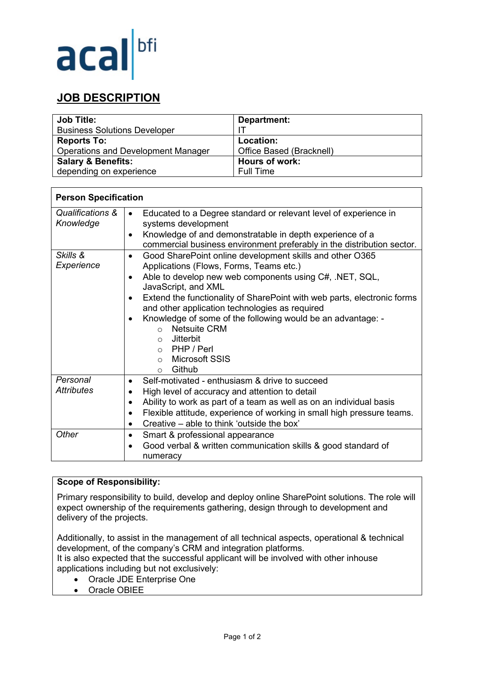

# **JOB DESCRIPTION**

| <b>Job Title:</b>                               | Department:              |
|-------------------------------------------------|--------------------------|
| <b>Business Solutions Developer</b>             |                          |
| <b>Reports To:</b>                              | Location:                |
| <b>Operations and Development Manager</b>       | Office Based (Bracknell) |
| Hours of work:<br><b>Salary &amp; Benefits:</b> |                          |
| depending on experience                         | <b>Full Time</b>         |

| <b>Person Specification</b>   |                                                                                                                                                                                                                                                                                                                                                                                                                                                                                                                                                                     |
|-------------------------------|---------------------------------------------------------------------------------------------------------------------------------------------------------------------------------------------------------------------------------------------------------------------------------------------------------------------------------------------------------------------------------------------------------------------------------------------------------------------------------------------------------------------------------------------------------------------|
| Qualifications &<br>Knowledge | Educated to a Degree standard or relevant level of experience in<br>$\bullet$<br>systems development<br>Knowledge of and demonstratable in depth experience of a<br>٠<br>commercial business environment preferably in the distribution sector.                                                                                                                                                                                                                                                                                                                     |
| Skills &<br>Experience        | Good SharePoint online development skills and other O365<br>$\bullet$<br>Applications (Flows, Forms, Teams etc.)<br>Able to develop new web components using C#, .NET, SQL,<br>$\bullet$<br>JavaScript, and XML<br>Extend the functionality of SharePoint with web parts, electronic forms<br>$\bullet$<br>and other application technologies as required<br>Knowledge of some of the following would be an advantage: -<br><b>Netsuite CRM</b><br>$\bigcap$<br>Jitterbit<br>$\circ$<br>$\circ$ PHP / Perl<br><b>Microsoft SSIS</b><br>$\circ$<br>Github<br>$\circ$ |
| Personal<br><b>Attributes</b> | Self-motivated - enthusiasm & drive to succeed<br>High level of accuracy and attention to detail<br>Ability to work as part of a team as well as on an individual basis<br>$\bullet$<br>Flexible attitude, experience of working in small high pressure teams.<br>٠<br>Creative – able to think 'outside the box'<br>$\bullet$                                                                                                                                                                                                                                      |
| Other                         | Smart & professional appearance<br>$\bullet$<br>Good verbal & written communication skills & good standard of<br>$\bullet$<br>numeracy                                                                                                                                                                                                                                                                                                                                                                                                                              |

## **Scope of Responsibility:**

Primary responsibility to build, develop and deploy online SharePoint solutions. The role will expect ownership of the requirements gathering, design through to development and delivery of the projects.

Additionally, to assist in the management of all technical aspects, operational & technical development, of the company's CRM and integration platforms. It is also expected that the successful applicant will be involved with other inhouse applications including but not exclusively:

- Oracle JDE Enterprise One
- Oracle OBIEE